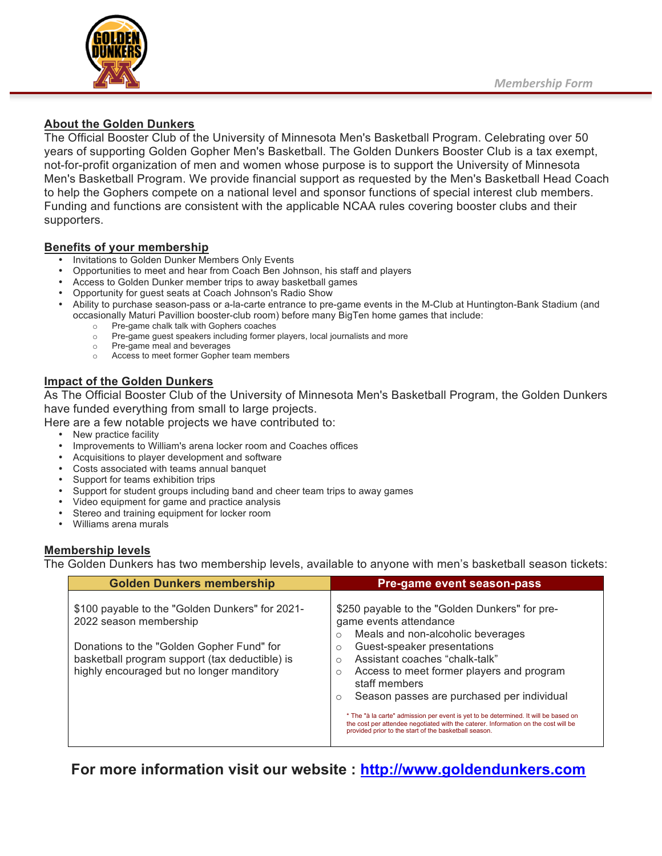

## **About the Golden Dunkers**

The Official Booster Club of the University of Minnesota Men's Basketball Program. Celebrating over 50 years of supporting Golden Gopher Men's Basketball. The Golden Dunkers Booster Club is a tax exempt, not-for-profit organization of men and women whose purpose is to support the University of Minnesota Men's Basketball Program. We provide financial support as requested by the Men's Basketball Head Coach to help the Gophers compete on a national level and sponsor functions of special interest club members. Funding and functions are consistent with the applicable NCAA rules covering booster clubs and their supporters.

## **Benefits of your membership**

- Invitations to Golden Dunker Members Only Events
- Opportunities to meet and hear from Coach Ben Johnson, his staff and players
- Access to Golden Dunker member trips to away basketball games
- Opportunity for guest seats at Coach Johnson's Radio Show
- Ability to purchase season-pass or a-la-carte entrance to pre-game events in the M-Club at Huntington-Bank Stadium (and occasionally Maturi Pavillion booster-club room) before many BigTen home games that include:
	- o Pre-game chalk talk with Gophers coaches
	- o Pre-game guest speakers including former players, local journalists and more
	- o Pre-game meal and beverages
	- o Access to meet former Gopher team members

## **Impact of the Golden Dunkers**

As The Official Booster Club of the University of Minnesota Men's Basketball Program, the Golden Dunkers have funded everything from small to large projects.

Here are a few notable projects we have contributed to:

- New practice facility
- Improvements to William's arena locker room and Coaches offices
- Acquisitions to player development and software
- Costs associated with teams annual banquet
- Support for teams exhibition trips
- Support for student groups including band and cheer team trips to away games
- Video equipment for game and practice analysis
- Stereo and training equipment for locker room
- Williams arena murals

## **Membership levels**

The Golden Dunkers has two membership levels, available to anyone with men's basketball season tickets:

| <b>Golden Dunkers membership</b>                                                                                                                                                                                      | Pre-game event season-pass                                                                                                                                                                                                                                                                                                                                                                                                                                                                                                                                                   |
|-----------------------------------------------------------------------------------------------------------------------------------------------------------------------------------------------------------------------|------------------------------------------------------------------------------------------------------------------------------------------------------------------------------------------------------------------------------------------------------------------------------------------------------------------------------------------------------------------------------------------------------------------------------------------------------------------------------------------------------------------------------------------------------------------------------|
| \$100 payable to the "Golden Dunkers" for 2021-<br>2022 season membership<br>Donations to the "Golden Gopher Fund" for<br>basketball program support (tax deductible) is<br>highly encouraged but no longer manditory | \$250 payable to the "Golden Dunkers" for pre-<br>game events attendance<br>Meals and non-alcoholic beverages<br>$\circ$<br>Guest-speaker presentations<br>$\circ$<br>Assistant coaches "chalk-talk"<br>Access to meet former players and program<br>$\circ$<br>staff members<br>Season passes are purchased per individual<br>$\circ$<br>* The "à la carte" admission per event is yet to be determined. It will be based on<br>the cost per attendee negotiated with the caterer. Information on the cost will be<br>provided prior to the start of the basketball season. |

**For more information visit our website : http://www.goldendunkers.com**